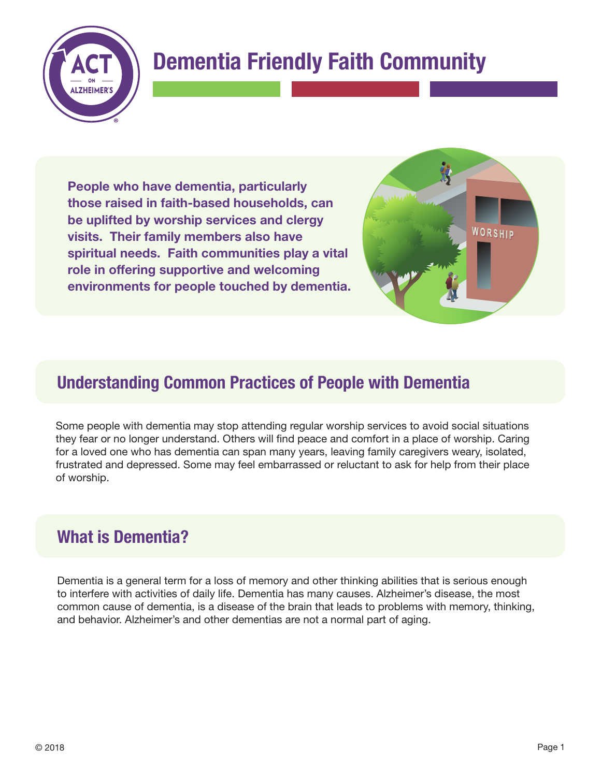

# **Dementia Friendly Faith Community**

**People who have dementia, particularly those raised in faith-based households, can be uplifted by worship services and clergy visits. Their family members also have spiritual needs. Faith communities play a vital role in offering supportive and welcoming environments for people touched by dementia.** 



# **Understanding Common Practices of People with Dementia**

Some people with dementia may stop attending regular worship services to avoid social situations they fear or no longer understand. Others will find peace and comfort in a place of worship. Caring for a loved one who has dementia can span many years, leaving family caregivers weary, isolated, frustrated and depressed. Some may feel embarrassed or reluctant to ask for help from their place of worship.

# **What is Dementia?**

Dementia is a general term for a loss of memory and other thinking abilities that is serious enough to interfere with activities of daily life. Dementia has many causes. Alzheimer's disease, the most common cause of dementia, is a disease of the brain that leads to problems with memory, thinking, and behavior. Alzheimer's and other dementias are not a normal part of aging.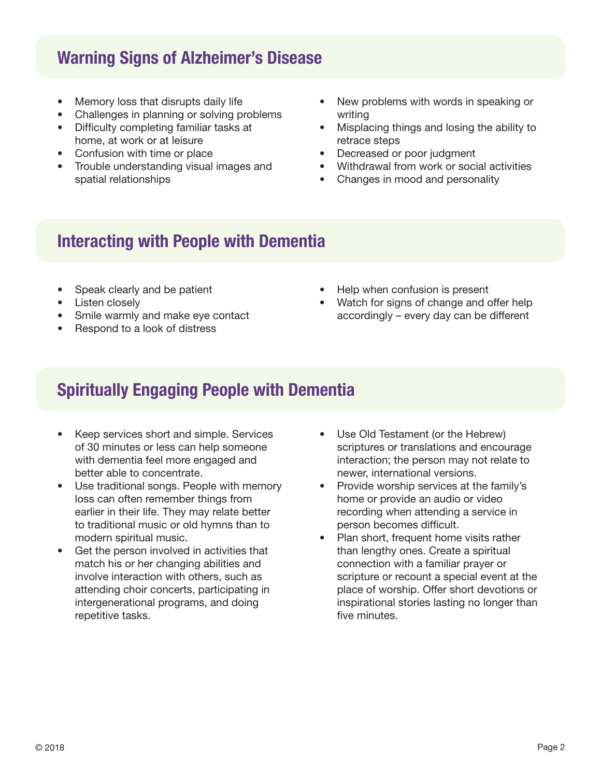### **Warning Signs of Alzheimer's Disease**

- Memory loss that disrupts daily life
- Challenges in planning or solving problems
- Difficulty completing familiar tasks at home, at work or at leisure
- Confusion with time or place
- Trouble understanding visual images and spatial relationships
- New problems with words in speaking or writing
- Misplacing things and losing the ability to retrace steps
- Decreased or poor judgment
- Withdrawal from work or social activities
- Changes in mood and personality

#### **Interacting with People with Dementia**

- Speak clearly and be patient
- Listen closely
- Smile warmly and make eye contact
- Respond to a look of distress
- Help when confusion is present
- Watch for signs of change and offer help accordingly – every day can be different

# **Spiritually Engaging People with Dementia**

- Keep services short and simple. Services of 30 minutes or less can help someone with dementia feel more engaged and better able to concentrate.
- Use traditional songs. People with memory loss can often remember things from earlier in their life. They may relate better to traditional music or old hymns than to modern spiritual music.
- Get the person involved in activities that match his or her changing abilities and involve interaction with others, such as attending choir concerts, participating in intergenerational programs, and doing repetitive tasks.
- Use Old Testament (or the Hebrew) scriptures or translations and encourage interaction; the person may not relate to newer, international versions.
- Provide worship services at the family's home or provide an audio or video recording when attending a service in person becomes difficult.
- Plan short, frequent home visits rather than lengthy ones. Create a spiritual connection with a familiar prayer or scripture or recount a special event at the place of worship. Offer short devotions or inspirational stories lasting no longer than five minutes.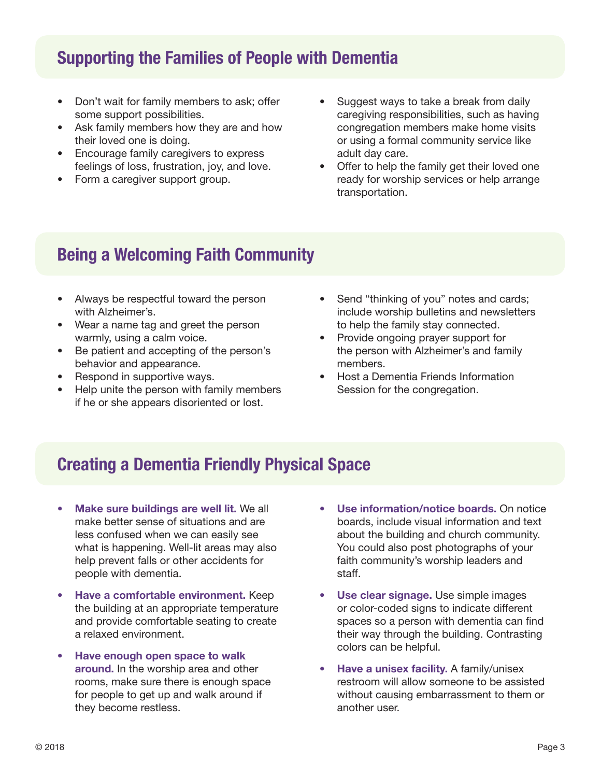# **Supporting the Families of People with Dementia**

- Don't wait for family members to ask; offer some support possibilities.
- Ask family members how they are and how their loved one is doing.
- Encourage family caregivers to express feelings of loss, frustration, joy, and love.
- Form a caregiver support group.
- Suggest ways to take a break from daily caregiving responsibilities, such as having congregation members make home visits or using a formal community service like adult day care.
- Offer to help the family get their loved one ready for worship services or help arrange transportation.

# **Being a Welcoming Faith Community**

- Always be respectful toward the person with Alzheimer's.
- Wear a name tag and greet the person warmly, using a calm voice.
- Be patient and accepting of the person's behavior and appearance.
- Respond in supportive ways.
- Help unite the person with family members if he or she appears disoriented or lost.
- Send "thinking of you" notes and cards; include worship bulletins and newsletters to help the family stay connected.
- Provide ongoing prayer support for the person with Alzheimer's and family members.
- Host a Dementia Friends Information Session for the congregation.

# **Creating a Dementia Friendly Physical Space**

- **Make sure buildings are well lit.** We all make better sense of situations and are less confused when we can easily see what is happening. Well-lit areas may also help prevent falls or other accidents for people with dementia.
- **Have a comfortable environment.** Keep the building at an appropriate temperature and provide comfortable seating to create a relaxed environment.
- **Have enough open space to walk around.** In the worship area and other rooms, make sure there is enough space for people to get up and walk around if they become restless.
- **Use information/notice boards.** On notice boards, include visual information and text about the building and church community. You could also post photographs of your faith community's worship leaders and staff.
- **Use clear signage.** Use simple images or color-coded signs to indicate different spaces so a person with dementia can find their way through the building. Contrasting colors can be helpful.
- **Have a unisex facility.** A family/unisex restroom will allow someone to be assisted without causing embarrassment to them or another user.